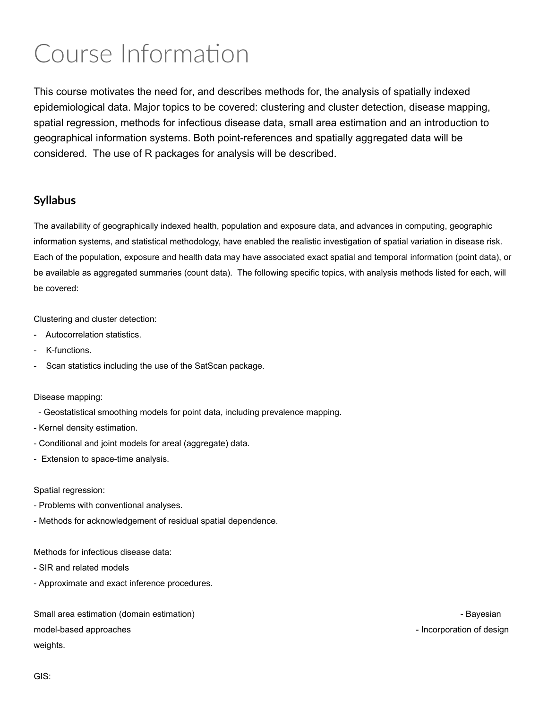# Course Information

This course motivates the need for, and describes methods for, the analysis of spatially indexed epidemiological data. Major topics to be covered: clustering and cluster detection, disease mapping, spatial regression, methods for infectious disease data, small area estimation and an introduction to geographical information systems. Both point-references and spatially aggregated data will be considered. The use of R packages for analysis will be described.

#### Syllabus

The availability of geographically indexed health, population and exposure data, and advances in computing, geographic information systems, and statistical methodology, have enabled the realistic investigation of spatial variation in disease risk. Each of the population, exposure and health data may have associated exact spatial and temporal information (point data), or be available as aggregated summaries (count data). The following specific topics, with analysis methods listed for each, will be covered:

Clustering and cluster detection:

- Autocorrelation statistics.
- K-functions.
- Scan statistics including the use of the SatScan package.

Disease mapping:

- Geostatistical smoothing models for point data, including prevalence mapping.
- Kernel density estimation.
- Conditional and joint models for areal (aggregate) data.
- Extension to space-time analysis.

#### Spatial regression:

- Problems with conventional analyses.
- Methods for acknowledgement of residual spatial dependence.

Methods for infectious disease data:

- SIR and related models
- Approximate and exact inference procedures.

Small area estimation (domain estimation) - Bayesian - Bayesian - Bayesian - Bayesian model-based approaches - Incorporation of design - Incorporation of design weights.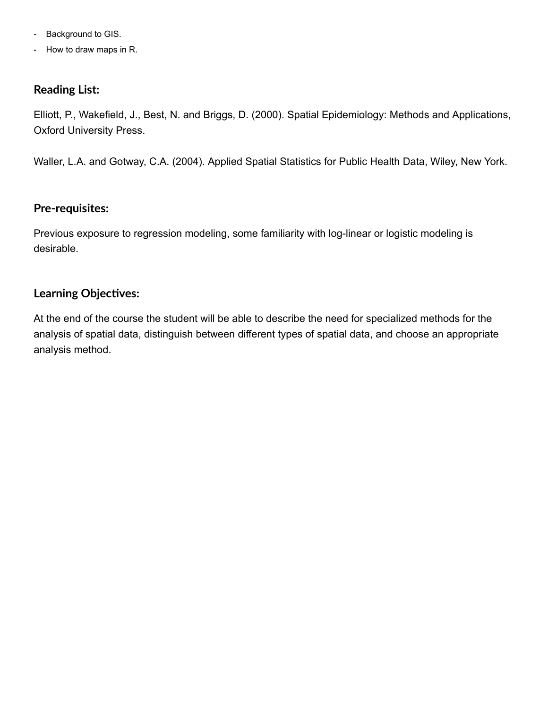- Background to GIS.
- How to draw maps in R.

### Reading List:

Elliott, P., Wakefield, J., Best, N. and Briggs, D. (2000). Spatial Epidemiology: Methods and Applications, Oxford University Press.

Waller, L.A. and Gotway, C.A. (2004). Applied Spatial Statistics for Public Health Data, Wiley, New York.

#### Pre-requisites:

Previous exposure to regression modeling, some familiarity with log-linear or logistic modeling is desirable.

### Learning Objectives:

At the end of the course the student will be able to describe the need for specialized methods for the analysis of spatial data, distinguish between different types of spatial data, and choose an appropriate analysis method.